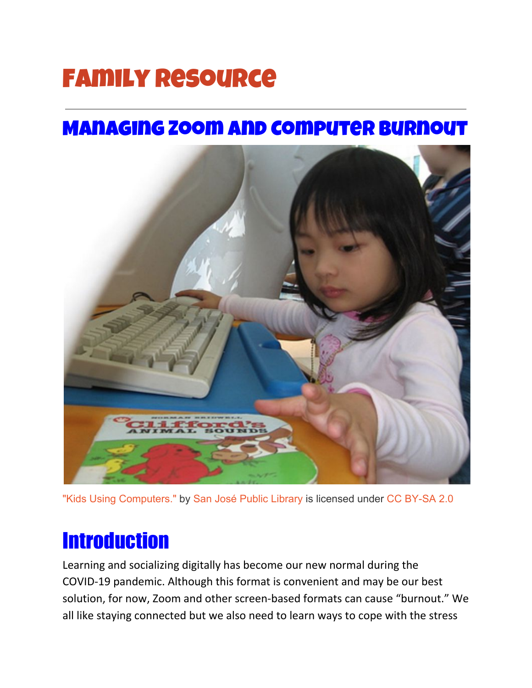# Family Resource

### Managing Zoom and Computer Burnout



["Kids Using Computers."](https://www.flickr.com/photos/26204872@N08/2551716847) by [San José Public Library](https://www.flickr.com/photos/26204872@N08) is licensed under [CC BY-SA 2.0](https://creativecommons.org/licenses/by-sa/2.0/?ref=ccsearch&atype=rich)

### **Introduction**

Learning and socializing digitally has become our new normal during the COVID-19 pandemic. Although this format is convenient and may be our best solution, for now, Zoom and other screen-based formats can cause "burnout." We all like staying connected but we also need to learn ways to cope with the stress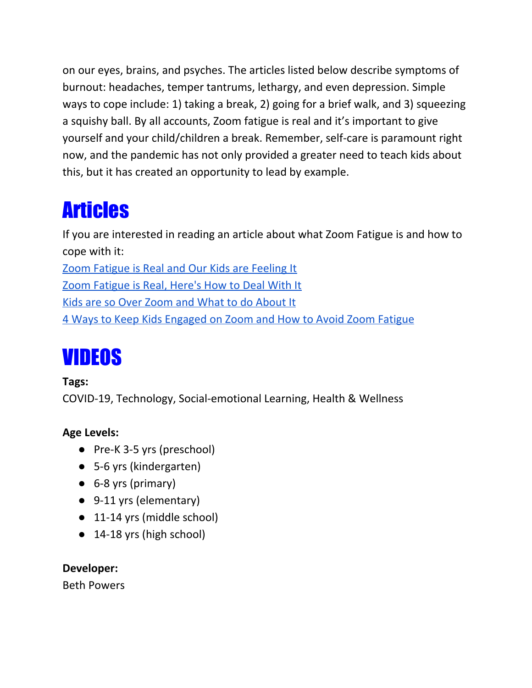on our eyes, brains, and psyches. The articles listed below describe symptoms of burnout: headaches, temper tantrums, lethargy, and even depression. Simple ways to cope include: 1) taking a break, 2) going for a brief walk, and 3) squeezing a squishy ball. By all accounts, Zoom fatigue is real and it's important to give yourself and your child/children a break. Remember, self-care is paramount right now, and the pandemic has not only provided a greater need to teach kids about this, but it has created an opportunity to lead by example.

## Articles

If you are interested in reading an article about what Zoom Fatigue is and how to cope with it: Zoom [Fatigue](https://www.mother.ly/news/zoom-fatigue-kids) is Real and Our Kids are Feeling It

Zoom [Fatigue](https://www.parents.com/parenting/better-parenting/zoom-fatigue-is-real-here-s-how-to-deal-with-it/#:~:text=%22The%20best%20way%20to%20help,right%20after%2C%22%20says%20Hurley.) is Real, Here's How to Deal With It

Kids are so Over Zoom and What to do [About](https://www.huffpost.com/entry/zoom-and-google-hangouts-are-making-kids-miserable_l_5ebd5cbbc5b655620b13a149) It

4 Ways to Keep Kids [Engaged](https://www.katielear.com/child-therapy-blog/2020/8/4/4-ways-help-kids-stay-engaged-on-zoom) on Zoom and How to Avoid Zoom Fatigue

# VIDEOS

#### **Tags:**

COVID-19, Technology, Social-emotional Learning, Health & Wellness

### **Age Levels:**

- Pre-K 3-5 yrs (preschool)
- 5-6 yrs (kindergarten)
- 6-8 yrs (primary)
- 9-11 yrs (elementary)
- 11-14 yrs (middle school)
- 14-18 yrs (high school)

### **Developer:**

Beth Powers